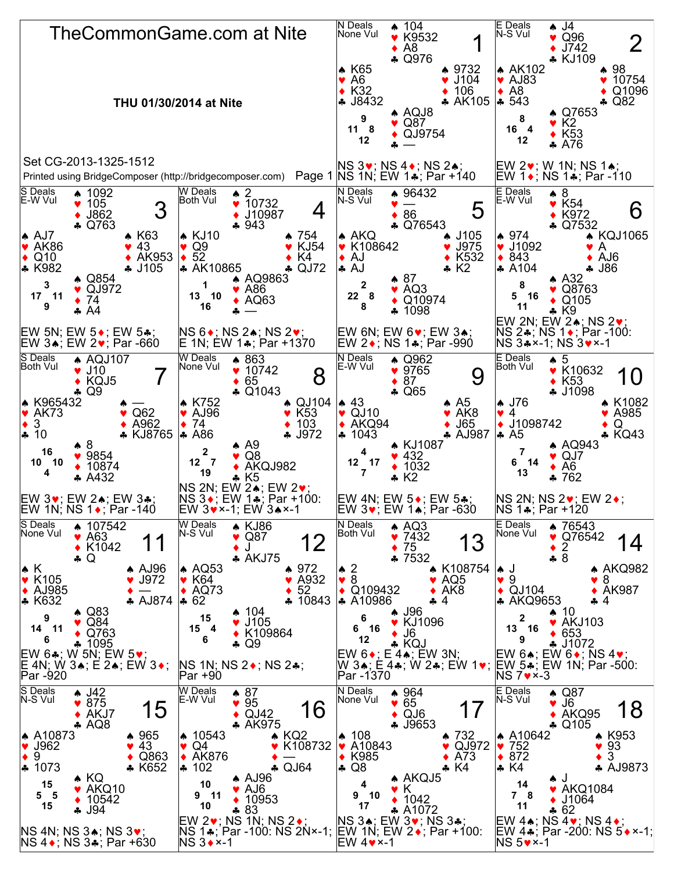